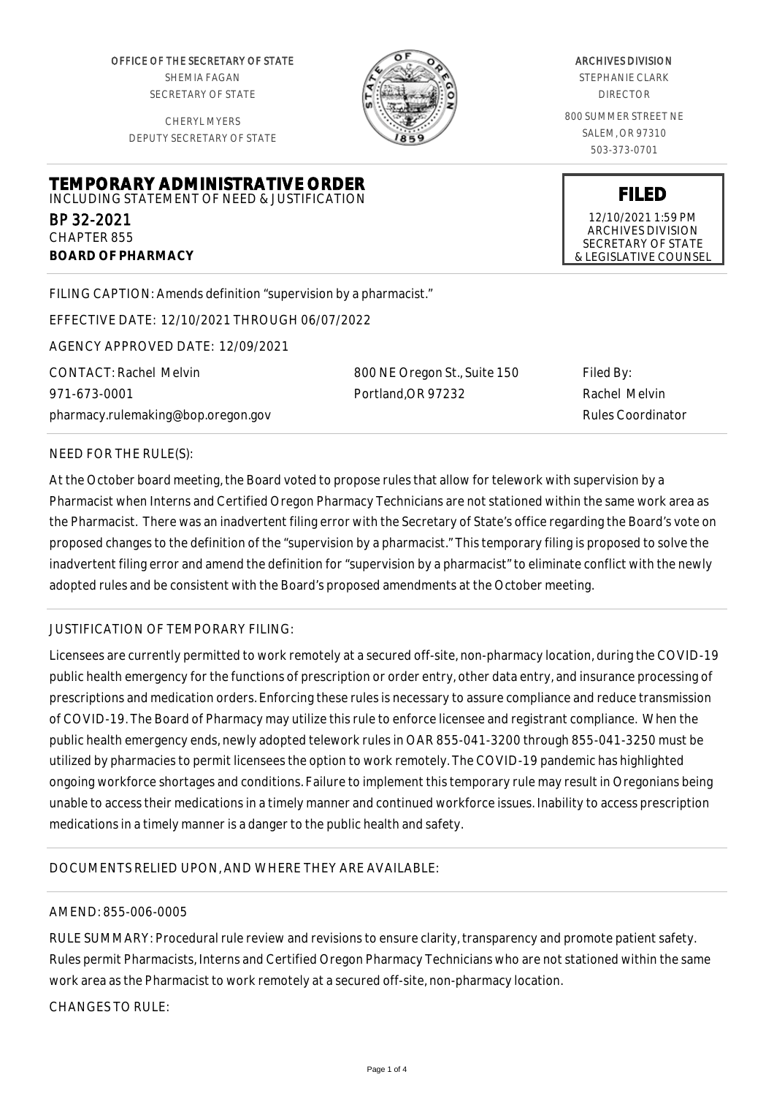OFFICE OF THE SECRETARY OF STATE SHEMIA FAGAN SECRETARY OF STATE

CHERYL MYERS DEPUTY SECRETARY OF STATE

**TEMPORARY ADMINISTRATIVE ORDER** INCLUDING STATEMENT OF NEED & JUSTIFICATION



#### ARCHIVES DIVISION

STEPHANIE CLARK DIRECTOR

800 SUMMER STREET NE SALEM, OR 97310 503-373-0701

**FILED** 12/10/2021 1:59 PM ARCHIVES DIVISION SECRETARY OF STATE & LEGISLATIVE COUNSEL

FILING CAPTION: Amends definition "supervision by a pharmacist."

EFFECTIVE DATE: 12/10/2021 THROUGH 06/07/2022

AGENCY APPROVED DATE: 12/09/2021

CONTACT: Rachel Melvin 971-673-0001 pharmacy.rulemaking@bop.oregon.gov 800 NE Oregon St., Suite 150 Portland,OR 97232

Filed By: Rachel Melvin Rules Coordinator

### NEED FOR THE RULE(S):

BP 32-2021 CHAPTER 855

**BOARD OF PHARMACY**

At the October board meeting, the Board voted to propose rules that allow for telework with supervision by a Pharmacist when Interns and Certified Oregon Pharmacy Technicians are not stationed within the same work area as the Pharmacist. There was an inadvertent filing error with the Secretary of State's office regarding the Board's vote on proposed changes to the definition of the "supervision by a pharmacist." This temporary filing is proposed to solve the inadvertent filing error and amend the definition for "supervision by a pharmacist" to eliminate conflict with the newly adopted rules and be consistent with the Board's proposed amendments at the October meeting.

### JUSTIFICATION OF TEMPORARY FILING:

Licensees are currently permitted to work remotely at a secured off-site, non-pharmacy location, during the COVID-19 public health emergency for the functions of prescription or order entry, other data entry, and insurance processing of prescriptions and medication orders. Enforcing these rules is necessary to assure compliance and reduce transmission of COVID-19. The Board of Pharmacy may utilize this rule to enforce licensee and registrant compliance. When the public health emergency ends, newly adopted telework rules in OAR 855-041-3200 through 855-041-3250 must be utilized by pharmacies to permit licensees the option to work remotely. The COVID-19 pandemic has highlighted ongoing workforce shortages and conditions. Failure to implement this temporary rule may result in Oregonians being unable to access their medications in a timely manner and continued workforce issues. Inability to access prescription medications in a timely manner is a danger to the public health and safety.

# DOCUMENTS RELIED UPON, AND WHERE THEY ARE AVAILABLE:

### AMEND: 855-006-0005

RULE SUMMARY: Procedural rule review and revisions to ensure clarity, transparency and promote patient safety. Rules permit Pharmacists, Interns and Certified Oregon Pharmacy Technicians who are not stationed within the same work area as the Pharmacist to work remotely at a secured off-site, non-pharmacy location.

 $CHANGFS TO RIIF$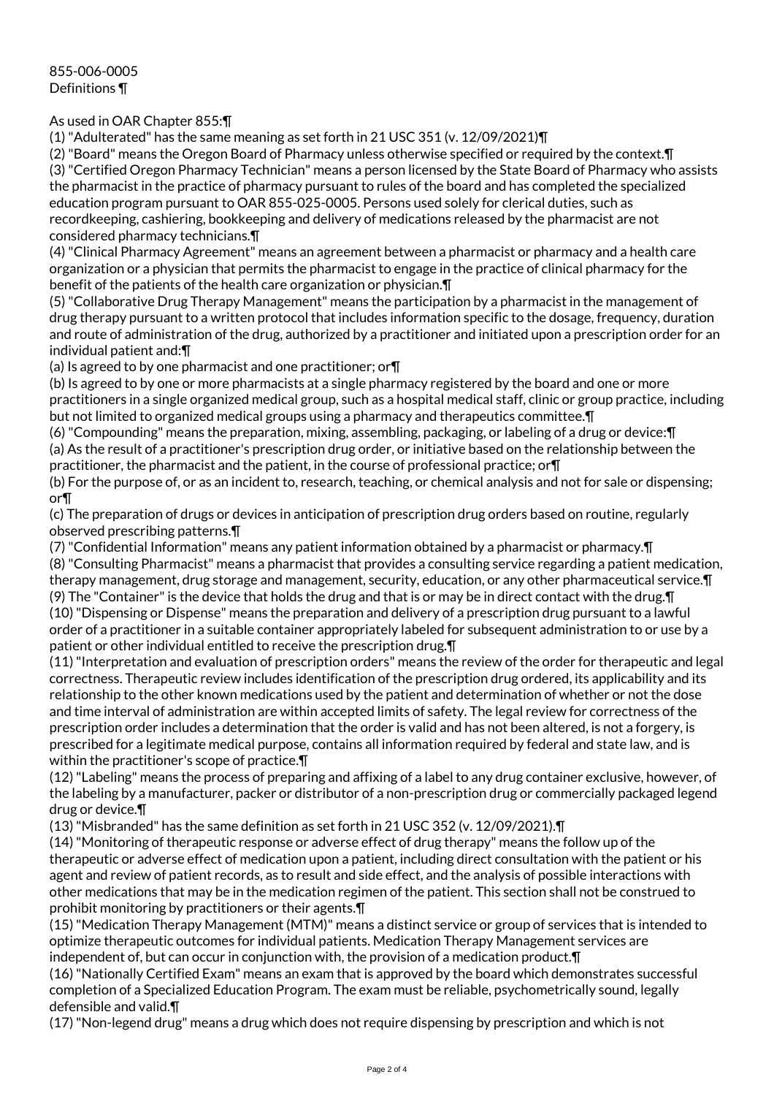## As used in OAR Chapter 855:¶

(1) "Adulterated" has the same meaning as set forth in 21 USC 351 (v. 12/09/2021)¶

(2) "Board" means the Oregon Board of Pharmacy unless otherwise specified or required by the context.¶ (3) "Certified Oregon Pharmacy Technician" means a person licensed by the State Board of Pharmacy who assists the pharmacist in the practice of pharmacy pursuant to rules of the board and has completed the specialized education program pursuant to OAR 855-025-0005. Persons used solely for clerical duties, such as recordkeeping, cashiering, bookkeeping and delivery of medications released by the pharmacist are not considered pharmacy technicians.¶

(4) "Clinical Pharmacy Agreement" means an agreement between a pharmacist or pharmacy and a health care organization or a physician that permits the pharmacist to engage in the practice of clinical pharmacy for the benefit of the patients of the health care organization or physician.¶

(5) "Collaborative Drug Therapy Management" means the participation by a pharmacist in the management of drug therapy pursuant to a written protocol that includes information specific to the dosage, frequency, duration and route of administration of the drug, authorized by a practitioner and initiated upon a prescription order for an individual patient and:¶

(a) Is agreed to by one pharmacist and one practitioner; or¶

(b) Is agreed to by one or more pharmacists at a single pharmacy registered by the board and one or more practitioners in a single organized medical group, such as a hospital medical staff, clinic or group practice, including but not limited to organized medical groups using a pharmacy and therapeutics committee.¶

(6) "Compounding" means the preparation, mixing, assembling, packaging, or labeling of a drug or device:¶ (a) As the result of a practitioner's prescription drug order, or initiative based on the relationship between the practitioner, the pharmacist and the patient, in the course of professional practice; or¶

(b) For the purpose of, or as an incident to, research, teaching, or chemical analysis and not for sale or dispensing; or¶

(c) The preparation of drugs or devices in anticipation of prescription drug orders based on routine, regularly observed prescribing patterns.¶

(7) "Confidential Information" means any patient information obtained by a pharmacist or pharmacy.¶

(8) "Consulting Pharmacist" means a pharmacist that provides a consulting service regarding a patient medication, therapy management, drug storage and management, security, education, or any other pharmaceutical service.¶ (9) The "Container" is the device that holds the drug and that is or may be in direct contact with the drug. $\P$ (10) "Dispensing or Dispense" means the preparation and delivery of a prescription drug pursuant to a lawful order of a practitioner in a suitable container appropriately labeled for subsequent administration to or use by a patient or other individual entitled to receive the prescription drug.¶

(11) "Interpretation and evaluation of prescription orders" means the review of the order for therapeutic and legal correctness. Therapeutic review includes identification of the prescription drug ordered, its applicability and its relationship to the other known medications used by the patient and determination of whether or not the dose and time interval of administration are within accepted limits of safety. The legal review for correctness of the prescription order includes a determination that the order is valid and has not been altered, is not a forgery, is prescribed for a legitimate medical purpose, contains all information required by federal and state law, and is within the practitioner's scope of practice.¶

(12) "Labeling" means the process of preparing and affixing of a label to any drug container exclusive, however, of the labeling by a manufacturer, packer or distributor of a non-prescription drug or commercially packaged legend drug or device.¶

(13) "Misbranded" has the same definition as set forth in 21 USC 352 (v. 12/09/2021).¶

(14) "Monitoring of therapeutic response or adverse effect of drug therapy" means the follow up of the therapeutic or adverse effect of medication upon a patient, including direct consultation with the patient or his agent and review of patient records, as to result and side effect, and the analysis of possible interactions with other medications that may be in the medication regimen of the patient. This section shall not be construed to prohibit monitoring by practitioners or their agents.¶

(15) "Medication Therapy Management (MTM)" means a distinct service or group of services that is intended to optimize therapeutic outcomes for individual patients. Medication Therapy Management services are independent of, but can occur in conjunction with, the provision of a medication product.¶

(16) "Nationally Certified Exam" means an exam that is approved by the board which demonstrates successful completion of a Specialized Education Program. The exam must be reliable, psychometrically sound, legally defensible and valid.¶

(17) "Non-legend drug" means a drug which does not require dispensing by prescription and which is not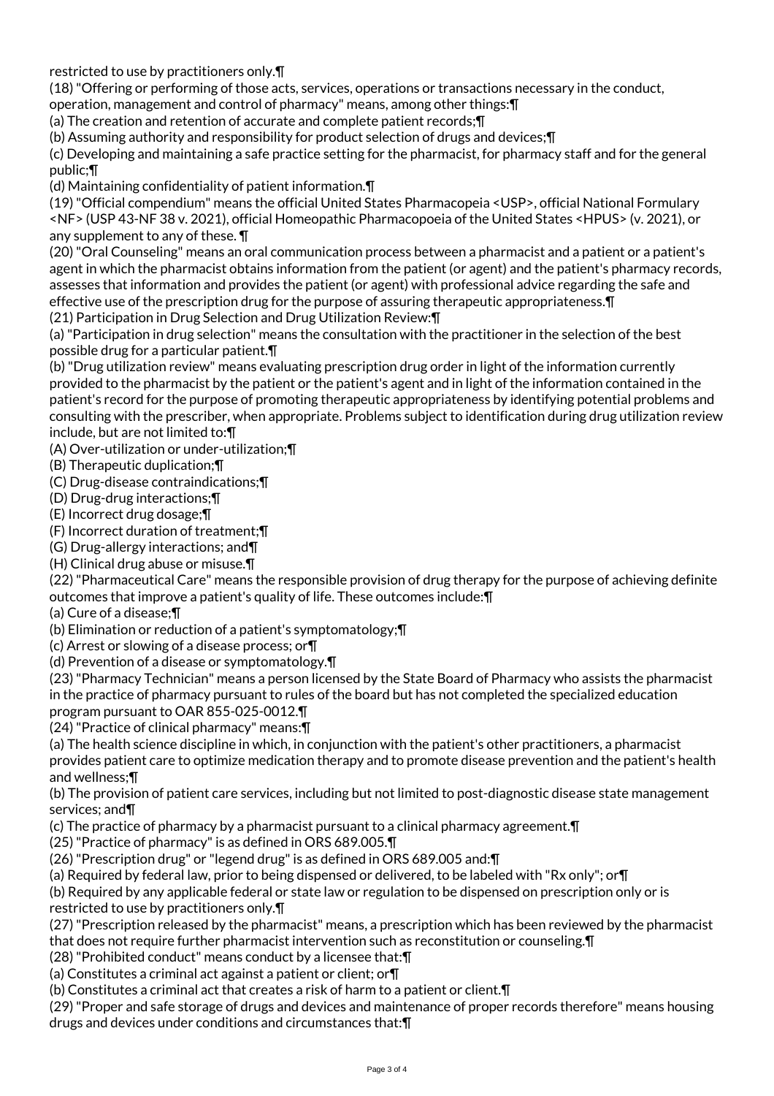restricted to use by practitioners only.¶

(18) "Offering or performing of those acts, services, operations or transactions necessary in the conduct,

operation, management and control of pharmacy" means, among other things:¶

(a) The creation and retention of accurate and complete patient records;¶

(b) Assuming authority and responsibility for product selection of drugs and devices;¶

(c) Developing and maintaining a safe practice setting for the pharmacist, for pharmacy staff and for the general public;¶

(d) Maintaining confidentiality of patient information.¶

(19) "Official compendium" means the official United States Pharmacopeia <USP>, official National Formulary <NF> (USP 43-NF 38 v. 2021), official Homeopathic Pharmacopoeia of the United States <HPUS> (v. 2021), or any supplement to any of these. ¶

(20) "Oral Counseling" means an oral communication process between a pharmacist and a patient or a patient's agent in which the pharmacist obtains information from the patient (or agent) and the patient's pharmacy records, assesses that information and provides the patient (or agent) with professional advice regarding the safe and effective use of the prescription drug for the purpose of assuring therapeutic appropriateness.¶ (21) Participation in Drug Selection and Drug Utilization Review:¶

(a) "Participation in drug selection" means the consultation with the practitioner in the selection of the best possible drug for a particular patient.¶

(b) "Drug utilization review" means evaluating prescription drug order in light of the information currently provided to the pharmacist by the patient or the patient's agent and in light of the information contained in the patient's record for the purpose of promoting therapeutic appropriateness by identifying potential problems and consulting with the prescriber, when appropriate. Problems subject to identification during drug utilization review include, but are not limited to:¶

(A) Over-utilization or under-utilization;¶

(B) Therapeutic duplication;¶

(C) Drug-disease contraindications;¶

(D) Drug-drug interactions;¶

(E) Incorrect drug dosage;¶

(F) Incorrect duration of treatment;¶

(G) Drug-allergy interactions; and¶

(H) Clinical drug abuse or misuse.¶

(22) "Pharmaceutical Care" means the responsible provision of drug therapy for the purpose of achieving definite outcomes that improve a patient's quality of life. These outcomes include:¶

(a) Cure of a disease;¶

(b) Elimination or reduction of a patient's symptomatology;¶

(c) Arrest or slowing of a disease process; or¶

(d) Prevention of a disease or symptomatology.¶

(23) "Pharmacy Technician" means a person licensed by the State Board of Pharmacy who assists the pharmacist in the practice of pharmacy pursuant to rules of the board but has not completed the specialized education program pursuant to OAR 855-025-0012.¶

(24) "Practice of clinical pharmacy" means:¶

(a) The health science discipline in which, in conjunction with the patient's other practitioners, a pharmacist provides patient care to optimize medication therapy and to promote disease prevention and the patient's health and wellness;¶

(b) The provision of patient care services, including but not limited to post-diagnostic disease state management services; and¶

(c) The practice of pharmacy by a pharmacist pursuant to a clinical pharmacy agreement.¶

(25) "Practice of pharmacy" is as defined in ORS 689.005.¶

(26) "Prescription drug" or "legend drug" is as defined in ORS 689.005 and:¶

(a) Required by federal law, prior to being dispensed or delivered, to be labeled with "Rx only"; or¶

(b) Required by any applicable federal or state law or regulation to be dispensed on prescription only or is restricted to use by practitioners only.¶

(27) "Prescription released by the pharmacist" means, a prescription which has been reviewed by the pharmacist

that does not require further pharmacist intervention such as reconstitution or counseling.¶

(28) "Prohibited conduct" means conduct by a licensee that:¶

(a) Constitutes a criminal act against a patient or client; or¶

(b) Constitutes a criminal act that creates a risk of harm to a patient or client.¶

(29) "Proper and safe storage of drugs and devices and maintenance of proper records therefore" means housing drugs and devices under conditions and circumstances that:¶